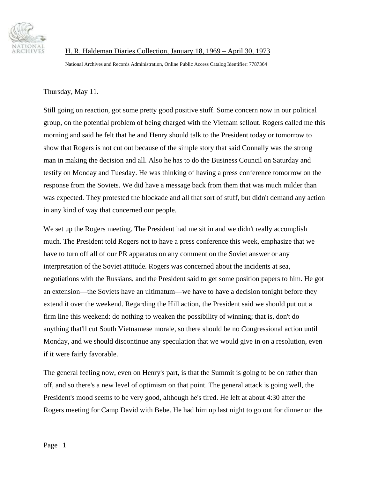

H. R. Haldeman Diaries Collection, January 18, 1969 – April 30, 1973

National Archives and Records Administration, Online Public Access Catalog Identifier: 7787364

Thursday, May 11.

Still going on reaction, got some pretty good positive stuff. Some concern now in our political group, on the potential problem of being charged with the Vietnam sellout. Rogers called me this morning and said he felt that he and Henry should talk to the President today or tomorrow to show that Rogers is not cut out because of the simple story that said Connally was the strong man in making the decision and all. Also he has to do the Business Council on Saturday and testify on Monday and Tuesday. He was thinking of having a press conference tomorrow on the response from the Soviets. We did have a message back from them that was much milder than was expected. They protested the blockade and all that sort of stuff, but didn't demand any action in any kind of way that concerned our people.

We set up the Rogers meeting. The President had me sit in and we didn't really accomplish much. The President told Rogers not to have a press conference this week, emphasize that we have to turn off all of our PR apparatus on any comment on the Soviet answer or any interpretation of the Soviet attitude. Rogers was concerned about the incidents at sea, negotiations with the Russians, and the President said to get some position papers to him. He got an extension—the Soviets have an ultimatum—we have to have a decision tonight before they extend it over the weekend. Regarding the Hill action, the President said we should put out a firm line this weekend: do nothing to weaken the possibility of winning; that is, don't do anything that'll cut South Vietnamese morale, so there should be no Congressional action until Monday, and we should discontinue any speculation that we would give in on a resolution, even if it were fairly favorable.

The general feeling now, even on Henry's part, is that the Summit is going to be on rather than off, and so there's a new level of optimism on that point. The general attack is going well, the President's mood seems to be very good, although he's tired. He left at about 4:30 after the Rogers meeting for Camp David with Bebe. He had him up last night to go out for dinner on the